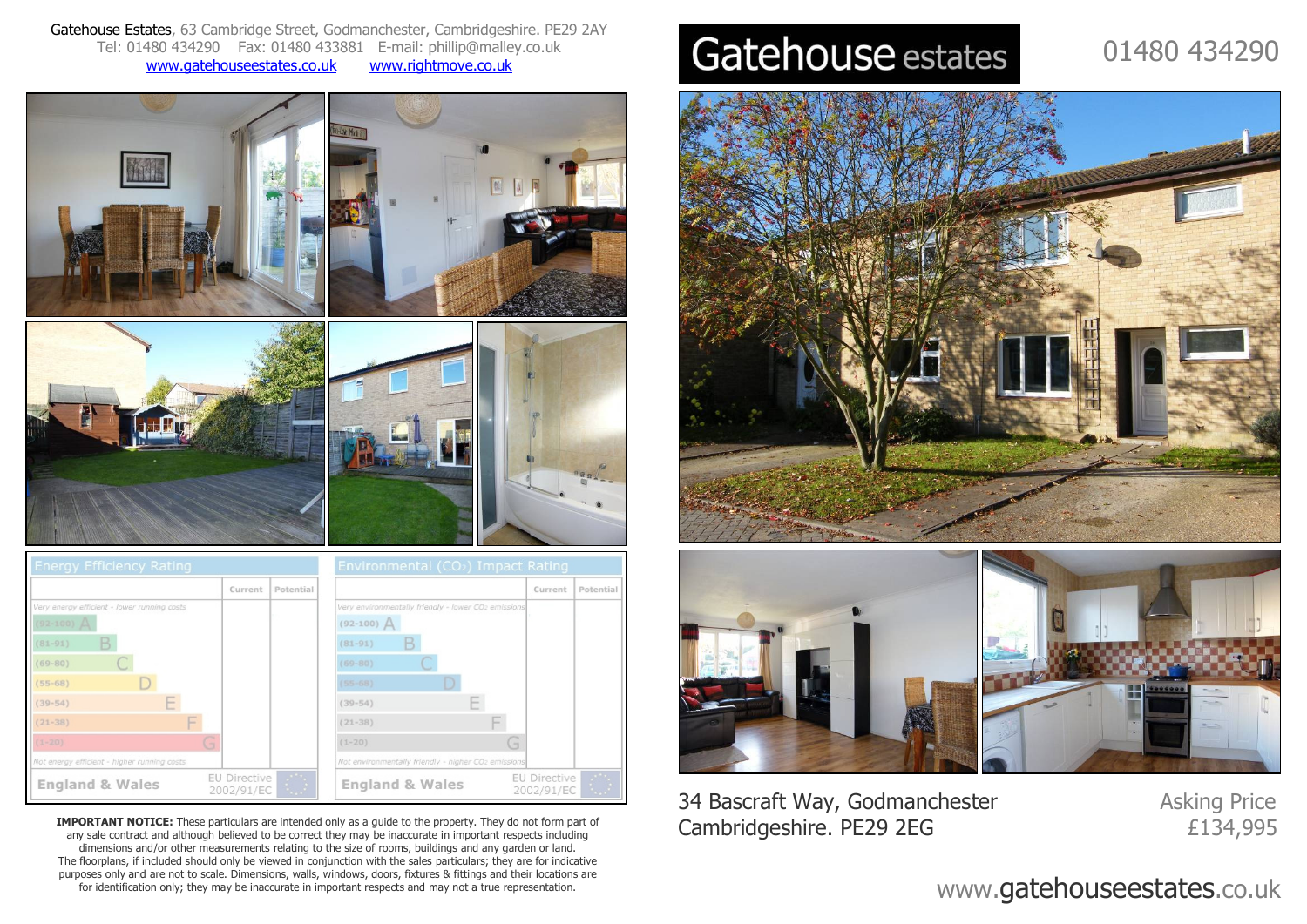Gatehouse Estates, 63 Cambridge Street, Godmanchester, Cambridgeshire. PE29 2AYTel: 01480 434290 Fax: 01480 433881 E-mail: phillip@malley.co.uk www.gatehouseestates.co.ukwww.rightmove.co.uk









**IMPORTANT NOTICE:** These particulars are intended only as a guide to the property. They do not form part of any sale contract and although believed to be correct they may be inaccurate in important respects including dimensions and/or other measurements relating to the size of rooms, buildings and any garden or land. The floorplans, if included should only be viewed in conjunction with the sales particulars; they are for indicative purposes only and are not to scale. Dimensions, walls, windows, doors, fixtures & fittings and their locations are for identification only; they may be inaccurate in important respects and may not a true representation.

# Gatehouse estates

## 01480 434290





34 Bascraft Way, Godmanchester Asking Price Cambridgeshire. PE29 2EG

£134,995

### www.gatehouseestates.co.uk